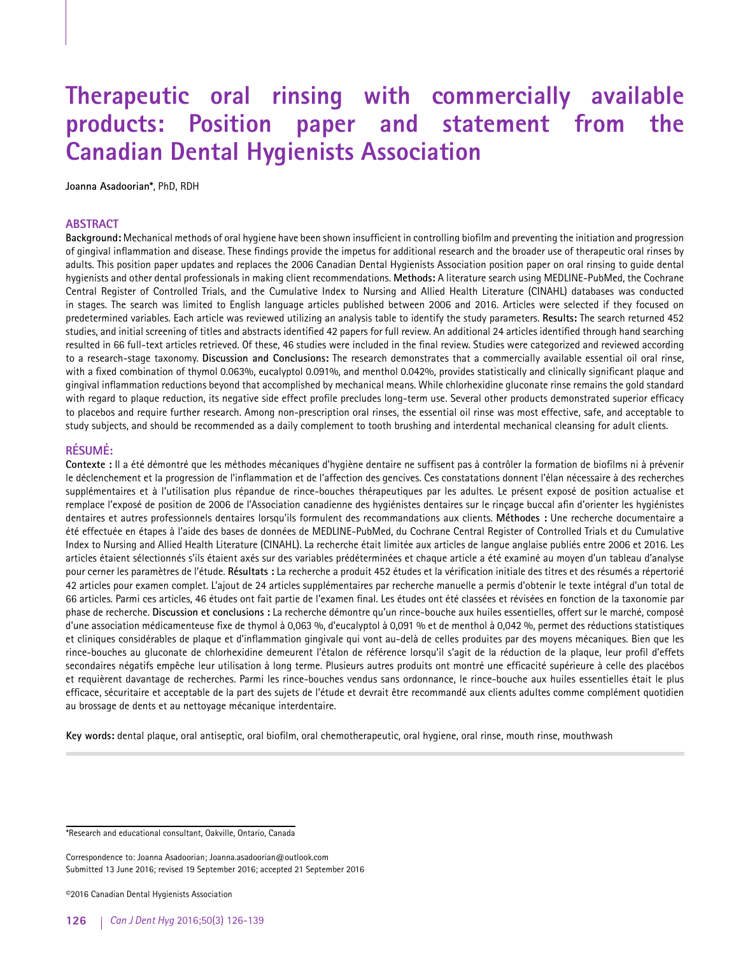# **Therapeutic oral rinsing with commercially available products: Position paper and statement from the Canadian Dental Hygienists Association**

**Joanna Asadoorian\***, PhD, RDH

#### **ABSTRACT**

**Background:** Mechanical methods of oral hygiene have been shown insufficient in controlling biofilm and preventing the initiation and progression of gingival inflammation and disease. These findings provide the impetus for additional research and the broader use of therapeutic oral rinses by adults. This position paper updates and replaces the 2006 Canadian Dental Hygienists Association position paper on oral rinsing to guide dental hygienists and other dental professionals in making client recommendations. **Methods:** A literature search using MEDLINE-PubMed, the Cochrane Central Register of Controlled Trials, and the Cumulative Index to Nursing and Allied Health Literature (CINAHL) databases was conducted in stages. The search was limited to English language articles published between 2006 and 2016. Articles were selected if they focused on predetermined variables. Each article was reviewed utilizing an analysis table to identify the study parameters. **Results:** The search returned 452 studies, and initial screening of titles and abstracts identified 42 papers for full review. An additional 24 articles identified through hand searching resulted in 66 full-text articles retrieved. Of these, 46 studies were included in the final review. Studies were categorized and reviewed according to a research-stage taxonomy. **Discussion and Conclusions:** The research demonstrates that a commercially available essential oil oral rinse, with a fixed combination of thymol 0.063%, eucalyptol 0.091%, and menthol 0.042%, provides statistically and clinically significant plaque and gingival inflammation reductions beyond that accomplished by mechanical means. While chlorhexidine gluconate rinse remains the gold standard with regard to plaque reduction, its negative side effect profile precludes long-term use. Several other products demonstrated superior efficacy to placebos and require further research. Among non-prescription oral rinses, the essential oil rinse was most effective, safe, and acceptable to study subjects, and should be recommended as a daily complement to tooth brushing and interdental mechanical cleansing for adult clients.

# **RÉSUMÉ:**

**Contexte :** Il a été démontré que les méthodes mécaniques d'hygiène dentaire ne suffisent pas à contrôler la formation de biofilms ni à prévenir le déclenchement et la progression de l'inflammation et de l'affection des gencives. Ces constatations donnent l'élan nécessaire à des recherches supplémentaires et à l'utilisation plus répandue de rince-bouches thérapeutiques par les adultes. Le présent exposé de position actualise et remplace l'exposé de position de 2006 de l'Association canadienne des hygiénistes dentaires sur le rinçage buccal afin d'orienter les hygiénistes dentaires et autres professionnels dentaires lorsqu'ils formulent des recommandations aux clients. **Méthodes :** Une recherche documentaire a été effectuée en étapes à l'aide des bases de données de MEDLINE-PubMed, du Cochrane Central Register of Controlled Trials et du Cumulative Index to Nursing and Allied Health Literature (CINAHL). La recherche était limitée aux articles de langue anglaise publiés entre 2006 et 2016. Les articles étaient sélectionnés s'ils étaient axés sur des variables prédéterminées et chaque article a été examiné au moyen d'un tableau d'analyse pour cerner les paramètres de l'étude. **Résultats :** La recherche a produit 452 études et la vérification initiale des titres et des résumés a répertorié 42 articles pour examen complet. L'ajout de 24 articles supplémentaires par recherche manuelle a permis d'obtenir le texte intégral d'un total de 66 articles. Parmi ces articles, 46 études ont fait partie de l'examen final. Les études ont été classées et révisées en fonction de la taxonomie par phase de recherche. **Discussion et conclusions :** La recherche démontre qu'un rince-bouche aux huiles essentielles, offert sur le marché, composé d'une association médicamenteuse fixe de thymol à 0,063 %, d'eucalyptol à 0,091 % et de menthol à 0,042 %, permet des réductions statistiques et cliniques considérables de plaque et d'inflammation gingivale qui vont au-delà de celles produites par des moyens mécaniques. Bien que les rince-bouches au gluconate de chlorhexidine demeurent l'étalon de référence lorsqu'il s'agit de la réduction de la plaque, leur profil d'effets secondaires négatifs empêche leur utilisation à long terme. Plusieurs autres produits ont montré une efficacité supérieure à celle des placébos et requièrent davantage de recherches. Parmi les rince-bouches vendus sans ordonnance, le rince-bouche aux huiles essentielles était le plus efficace, sécuritaire et acceptable de la part des sujets de l'étude et devrait être recommandé aux clients adultes comme complément quotidien au brossage de dents et au nettoyage mécanique interdentaire.

**Key words:** dental plaque, oral antiseptic, oral biofilm, oral chemotherapeutic, oral hygiene, oral rinse, mouth rinse, mouthwash

Correspondence to: Joanna Asadoorian; Joanna.asadoorian@outlook.com Submitted 13 June 2016; revised 19 September 2016; accepted 21 September 2016

©2016 Canadian Dental Hygienists Association

<sup>\*</sup>Research and educational consultant, Oakville, Ontario, Canada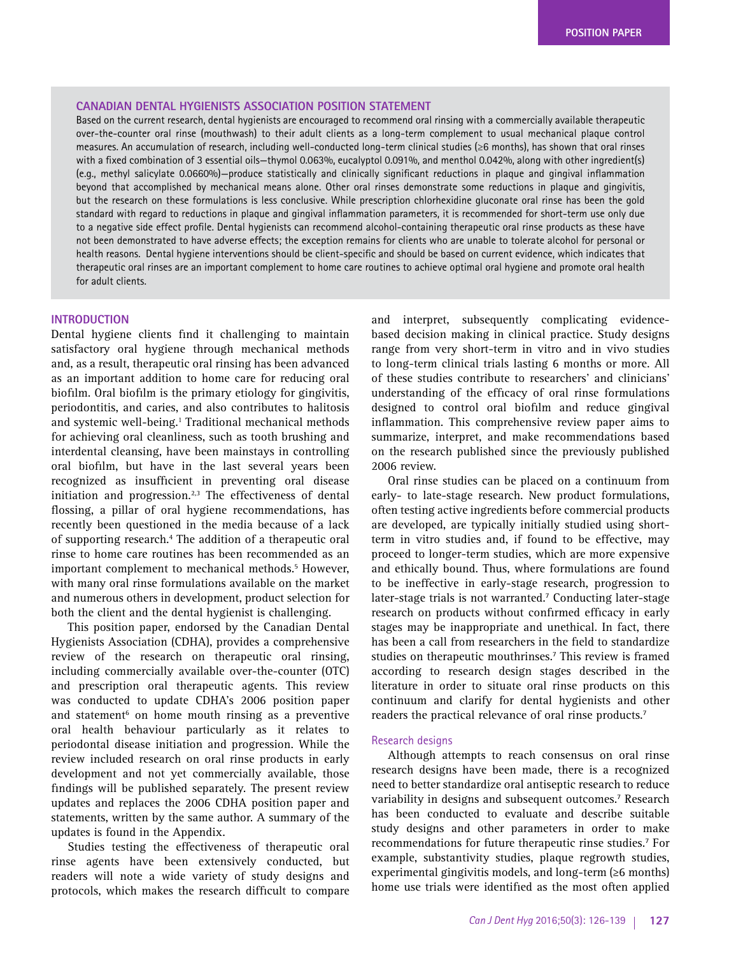### **CANADIAN DENTAL HYGIENISTS ASSOCIATION POSITION STATEMENT**

Based on the current research, dental hygienists are encouraged to recommend oral rinsing with a commercially available therapeutic over-the-counter oral rinse (mouthwash) to their adult clients as a long-term complement to usual mechanical plaque control measures. An accumulation of research, including well-conducted long-term clinical studies (≥6 months), has shown that oral rinses with a fixed combination of 3 essential oils—thymol 0.063%, eucalyptol 0.091%, and menthol 0.042%, along with other ingredient(s) (e.g., methyl salicylate 0.0660%)—produce statistically and clinically significant reductions in plaque and gingival inflammation beyond that accomplished by mechanical means alone. Other oral rinses demonstrate some reductions in plaque and gingivitis, but the research on these formulations is less conclusive. While prescription chlorhexidine gluconate oral rinse has been the gold standard with regard to reductions in plaque and gingival inflammation parameters, it is recommended for short-term use only due to a negative side effect profile. Dental hygienists can recommend alcohol-containing therapeutic oral rinse products as these have not been demonstrated to have adverse effects; the exception remains for clients who are unable to tolerate alcohol for personal or health reasons. Dental hygiene interventions should be client-specific and should be based on current evidence, which indicates that therapeutic oral rinses are an important complement to home care routines to achieve optimal oral hygiene and promote oral health for adult clients.

## **INTRODUCTION**

Dental hygiene clients find it challenging to maintain satisfactory oral hygiene through mechanical methods and, as a result, therapeutic oral rinsing has been advanced as an important addition to home care for reducing oral biofilm. Oral biofilm is the primary etiology for gingivitis, periodontitis, and caries, and also contributes to halitosis and systemic well-being.<sup>1</sup> Traditional mechanical methods for achieving oral cleanliness, such as tooth brushing and interdental cleansing, have been mainstays in controlling oral biofilm, but have in the last several years been recognized as insufficient in preventing oral disease initiation and progression. $2,3$  The effectiveness of dental flossing, a pillar of oral hygiene recommendations, has recently been questioned in the media because of a lack of supporting research.<sup>4</sup> The addition of a therapeutic oral rinse to home care routines has been recommended as an important complement to mechanical methods.<sup>5</sup> However, with many oral rinse formulations available on the market and numerous others in development, product selection for both the client and the dental hygienist is challenging.

This position paper, endorsed by the Canadian Dental Hygienists Association (CDHA), provides a comprehensive review of the research on therapeutic oral rinsing, including commercially available over-the-counter (OTC) and prescription oral therapeutic agents. This review was conducted to update CDHA's 2006 position paper and statement<sup>6</sup> on home mouth rinsing as a preventive oral health behaviour particularly as it relates to periodontal disease initiation and progression. While the review included research on oral rinse products in early development and not yet commercially available, those findings will be published separately. The present review updates and replaces the 2006 CDHA position paper and statements, written by the same author. A summary of the updates is found in the Appendix.

Studies testing the effectiveness of therapeutic oral rinse agents have been extensively conducted, but readers will note a wide variety of study designs and protocols, which makes the research difficult to compare

and interpret, subsequently complicating evidencebased decision making in clinical practice. Study designs range from very short-term in vitro and in vivo studies to long-term clinical trials lasting 6 months or more. All of these studies contribute to researchers' and clinicians' understanding of the efficacy of oral rinse formulations designed to control oral biofilm and reduce gingival inflammation. This comprehensive review paper aims to summarize, interpret, and make recommendations based on the research published since the previously published 2006 review.

Oral rinse studies can be placed on a continuum from early- to late-stage research. New product formulations, often testing active ingredients before commercial products are developed, are typically initially studied using shortterm in vitro studies and, if found to be effective, may proceed to longer-term studies, which are more expensive and ethically bound. Thus, where formulations are found to be ineffective in early-stage research, progression to later-stage trials is not warranted.<sup>7</sup> Conducting later-stage research on products without confirmed efficacy in early stages may be inappropriate and unethical. In fact, there has been a call from researchers in the field to standardize studies on therapeutic mouthrinses.<sup>7</sup> This review is framed according to research design stages described in the literature in order to situate oral rinse products on this continuum and clarify for dental hygienists and other readers the practical relevance of oral rinse products.7

#### Research designs

Although attempts to reach consensus on oral rinse research designs have been made, there is a recognized need to better standardize oral antiseptic research to reduce variability in designs and subsequent outcomes.7 Research has been conducted to evaluate and describe suitable study designs and other parameters in order to make recommendations for future therapeutic rinse studies.<sup>7</sup> For example, substantivity studies, plaque regrowth studies, experimental gingivitis models, and long-term (≥6 months) home use trials were identified as the most often applied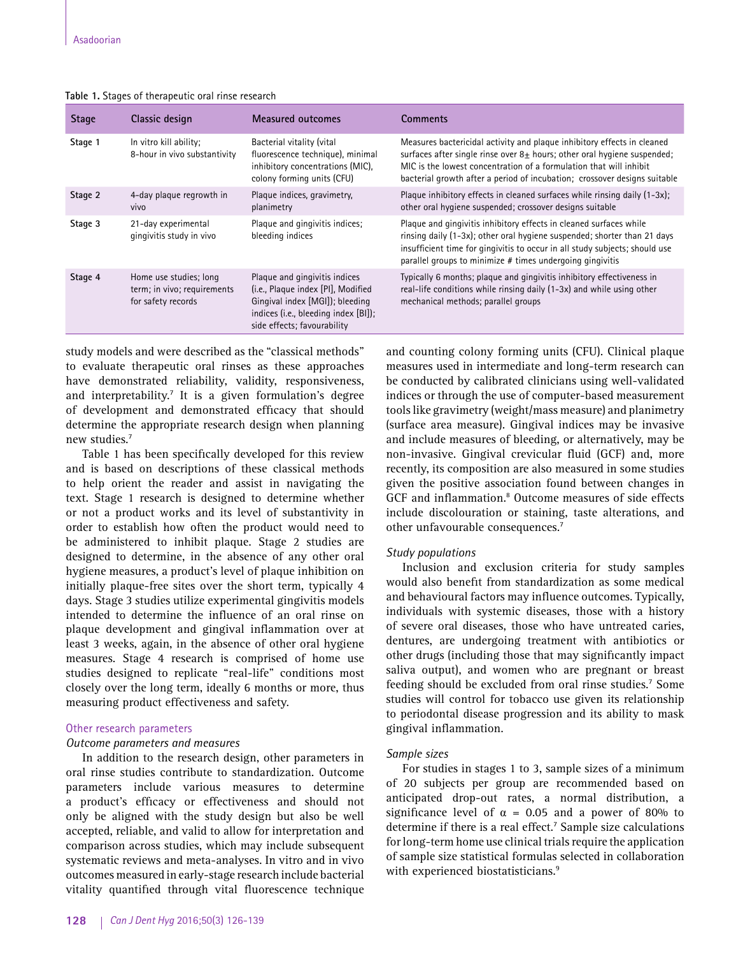| Table 1. Stages of therapeutic oral rinse research |  |
|----------------------------------------------------|--|
|----------------------------------------------------|--|

| <b>Stage</b> | Classic design                                                              | Measured outcomes                                                                                                                                                             | Comments                                                                                                                                                                                                                                                                                                   |
|--------------|-----------------------------------------------------------------------------|-------------------------------------------------------------------------------------------------------------------------------------------------------------------------------|------------------------------------------------------------------------------------------------------------------------------------------------------------------------------------------------------------------------------------------------------------------------------------------------------------|
| Stage 1      | In vitro kill ability:<br>8-hour in vivo substantivity                      | Bacterial vitality (vital<br>fluorescence technique), minimal<br>inhibitory concentrations (MIC).<br>colony forming units (CFU)                                               | Measures bactericidal activity and plaque inhibitory effects in cleaned<br>surfaces after single rinse over $8\pm$ hours; other oral hygiene suspended;<br>MIC is the lowest concentration of a formulation that will inhibit<br>bacterial growth after a period of incubation; crossover designs suitable |
| Stage 2      | 4-day plaque regrowth in<br>vivo                                            | Plaque indices, gravimetry,<br>planimetry                                                                                                                                     | Plaque inhibitory effects in cleaned surfaces while rinsing daily (1-3x);<br>other oral hygiene suspended; crossover designs suitable                                                                                                                                                                      |
| Stage 3      | 21-day experimental<br>gingivitis study in vivo                             | Plaque and gingivitis indices;<br>bleeding indices                                                                                                                            | Plaque and gingivitis inhibitory effects in cleaned surfaces while<br>rinsing daily (1-3x); other oral hygiene suspended; shorter than 21 days<br>insufficient time for gingivitis to occur in all study subjects; should use<br>parallel groups to minimize # times undergoing gingivitis                 |
| Stage 4      | Home use studies; long<br>term; in vivo; requirements<br>for safety records | Plaque and gingivitis indices<br>(i.e., Plaque index [PI], Modified<br>Gingival index [MGI]); bleeding<br>indices (i.e., bleeding index [BI]);<br>side effects; favourability | Typically 6 months; plaque and gingivitis inhibitory effectiveness in<br>real-life conditions while rinsing daily (1-3x) and while using other<br>mechanical methods; parallel groups                                                                                                                      |

study models and were described as the "classical methods" to evaluate therapeutic oral rinses as these approaches have demonstrated reliability, validity, responsiveness, and interpretability.7 It is a given formulation's degree of development and demonstrated efficacy that should determine the appropriate research design when planning new studies.<sup>7</sup>

Table 1 has been specifically developed for this review and is based on descriptions of these classical methods to help orient the reader and assist in navigating the text. Stage 1 research is designed to determine whether or not a product works and its level of substantivity in order to establish how often the product would need to be administered to inhibit plaque. Stage 2 studies are designed to determine, in the absence of any other oral hygiene measures, a product's level of plaque inhibition on initially plaque-free sites over the short term, typically 4 days. Stage 3 studies utilize experimental gingivitis models intended to determine the influence of an oral rinse on plaque development and gingival inflammation over at least 3 weeks, again, in the absence of other oral hygiene measures. Stage 4 research is comprised of home use studies designed to replicate "real-life" conditions most closely over the long term, ideally 6 months or more, thus measuring product effectiveness and safety.

## Other research parameters

#### *Outcome parameters and measures*

In addition to the research design, other parameters in oral rinse studies contribute to standardization. Outcome parameters include various measures to determine a product's efficacy or effectiveness and should not only be aligned with the study design but also be well accepted, reliable, and valid to allow for interpretation and comparison across studies, which may include subsequent systematic reviews and meta-analyses. In vitro and in vivo outcomes measured in early-stage research include bacterial vitality quantified through vital fluorescence technique and counting colony forming units (CFU). Clinical plaque measures used in intermediate and long-term research can be conducted by calibrated clinicians using well-validated indices or through the use of computer-based measurement tools like gravimetry (weight/mass measure) and planimetry (surface area measure). Gingival indices may be invasive and include measures of bleeding, or alternatively, may be non-invasive. Gingival crevicular fluid (GCF) and, more recently, its composition are also measured in some studies given the positive association found between changes in GCF and inflammation.<sup>8</sup> Outcome measures of side effects include discolouration or staining, taste alterations, and other unfavourable consequences.7

### *Study populations*

Inclusion and exclusion criteria for study samples would also benefit from standardization as some medical and behavioural factors may influence outcomes. Typically, individuals with systemic diseases, those with a history of severe oral diseases, those who have untreated caries, dentures, are undergoing treatment with antibiotics or other drugs (including those that may significantly impact saliva output), and women who are pregnant or breast feeding should be excluded from oral rinse studies.<sup>7</sup> Some studies will control for tobacco use given its relationship to periodontal disease progression and its ability to mask gingival inflammation.

# *Sample sizes*

For studies in stages 1 to 3, sample sizes of a minimum of 20 subjects per group are recommended based on anticipated drop-out rates, a normal distribution, a significance level of  $\alpha = 0.05$  and a power of 80% to determine if there is a real effect.<sup>7</sup> Sample size calculations for long-term home use clinical trials require the application of sample size statistical formulas selected in collaboration with experienced biostatisticians.<sup>9</sup>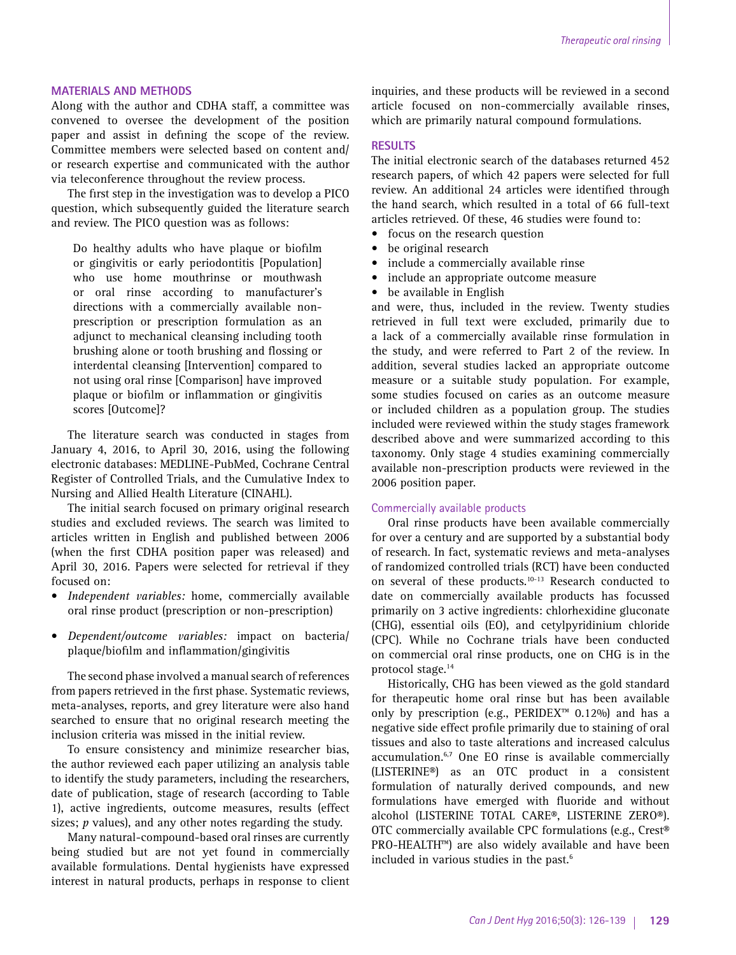# **MATERIALS AND METHODS**

Along with the author and CDHA staff, a committee was convened to oversee the development of the position paper and assist in defining the scope of the review. Committee members were selected based on content and/ or research expertise and communicated with the author via teleconference throughout the review process.

The first step in the investigation was to develop a PICO question, which subsequently guided the literature search and review. The PICO question was as follows:

Do healthy adults who have plaque or biofilm or gingivitis or early periodontitis [Population] who use home mouthrinse or mouthwash or oral rinse according to manufacturer's directions with a commercially available nonprescription or prescription formulation as an adjunct to mechanical cleansing including tooth brushing alone or tooth brushing and flossing or interdental cleansing [Intervention] compared to not using oral rinse [Comparison] have improved plaque or biofilm or inflammation or gingivitis scores [Outcome]?

The literature search was conducted in stages from January 4, 2016, to April 30, 2016, using the following electronic databases: MEDLINE-PubMed, Cochrane Central Register of Controlled Trials, and the Cumulative Index to Nursing and Allied Health Literature (CINAHL).

The initial search focused on primary original research studies and excluded reviews. The search was limited to articles written in English and published between 2006 (when the first CDHA position paper was released) and April 30, 2016. Papers were selected for retrieval if they focused on:

- *Independent variables:* home, commercially available oral rinse product (prescription or non-prescription)
- *Dependent/outcome variables:* impact on bacteria/ plaque/biofilm and inflammation/gingivitis

The second phase involved a manual search of references from papers retrieved in the first phase. Systematic reviews, meta-analyses, reports, and grey literature were also hand searched to ensure that no original research meeting the inclusion criteria was missed in the initial review.

To ensure consistency and minimize researcher bias, the author reviewed each paper utilizing an analysis table to identify the study parameters, including the researchers, date of publication, stage of research (according to Table 1), active ingredients, outcome measures, results (effect sizes; *p* values), and any other notes regarding the study.

Many natural-compound-based oral rinses are currently being studied but are not yet found in commercially available formulations. Dental hygienists have expressed interest in natural products, perhaps in response to client

inquiries, and these products will be reviewed in a second article focused on non-commercially available rinses, which are primarily natural compound formulations.

# **RESULTS**

The initial electronic search of the databases returned 452 research papers, of which 42 papers were selected for full review. An additional 24 articles were identified through the hand search, which resulted in a total of 66 full-text articles retrieved. Of these, 46 studies were found to:

- focus on the research question
- be original research
- include a commercially available rinse
- include an appropriate outcome measure
- be available in English

and were, thus, included in the review. Twenty studies retrieved in full text were excluded, primarily due to a lack of a commercially available rinse formulation in the study, and were referred to Part 2 of the review. In addition, several studies lacked an appropriate outcome measure or a suitable study population. For example, some studies focused on caries as an outcome measure or included children as a population group. The studies included were reviewed within the study stages framework described above and were summarized according to this taxonomy. Only stage 4 studies examining commercially available non-prescription products were reviewed in the 2006 position paper.

## Commercially available products

Oral rinse products have been available commercially for over a century and are supported by a substantial body of research. In fact, systematic reviews and meta-analyses of randomized controlled trials (RCT) have been conducted on several of these products.10-13 Research conducted to date on commercially available products has focussed primarily on 3 active ingredients: chlorhexidine gluconate (CHG), essential oils (EO), and cetylpyridinium chloride (CPC). While no Cochrane trials have been conducted on commercial oral rinse products, one on CHG is in the protocol stage.14

Historically, CHG has been viewed as the gold standard for therapeutic home oral rinse but has been available only by prescription (e.g., PERIDEX™ 0.12%) and has a negative side effect profile primarily due to staining of oral tissues and also to taste alterations and increased calculus accumulation.6,7 One EO rinse is available commercially (LISTERINE®) as an OTC product in a consistent formulation of naturally derived compounds, and new formulations have emerged with fluoride and without alcohol (LISTERINE TOTAL CARE®, LISTERINE ZERO®). OTC commercially available CPC formulations (e.g., Crest® PRO-HEALTH™) are also widely available and have been included in various studies in the past.<sup>6</sup>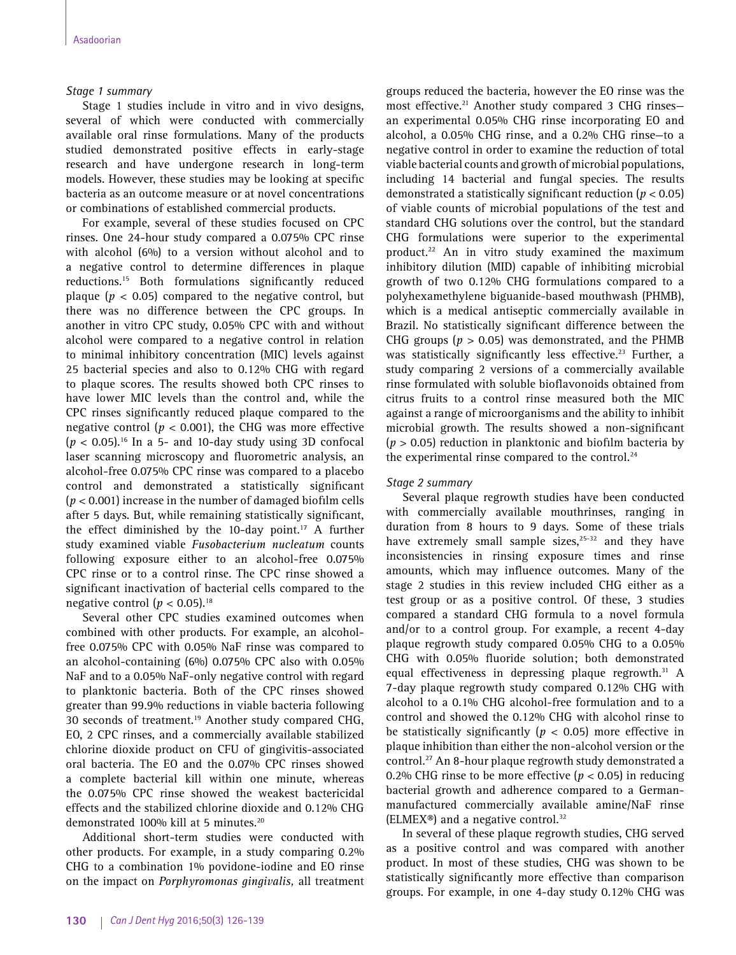# *Stage 1 summary*

Stage 1 studies include in vitro and in vivo designs, several of which were conducted with commercially available oral rinse formulations. Many of the products studied demonstrated positive effects in early-stage research and have undergone research in long-term models. However, these studies may be looking at specific bacteria as an outcome measure or at novel concentrations or combinations of established commercial products.

For example, several of these studies focused on CPC rinses. One 24-hour study compared a 0.075% CPC rinse with alcohol (6%) to a version without alcohol and to a negative control to determine differences in plaque reductions.15 Both formulations significantly reduced plaque ( $p < 0.05$ ) compared to the negative control, but there was no difference between the CPC groups. In another in vitro CPC study, 0.05% CPC with and without alcohol were compared to a negative control in relation to minimal inhibitory concentration (MIC) levels against 25 bacterial species and also to 0.12% CHG with regard to plaque scores. The results showed both CPC rinses to have lower MIC levels than the control and, while the CPC rinses significantly reduced plaque compared to the negative control ( $p < 0.001$ ), the CHG was more effective  $(p < 0.05)$ .<sup>16</sup> In a 5- and 10-day study using 3D confocal laser scanning microscopy and fluorometric analysis, an alcohol-free 0.075% CPC rinse was compared to a placebo control and demonstrated a statistically significant (*p* < 0.001) increase in the number of damaged biofilm cells after 5 days. But, while remaining statistically significant, the effect diminished by the 10-day point.<sup>17</sup> A further study examined viable *Fusobacterium nucleatum* counts following exposure either to an alcohol-free 0.075% CPC rinse or to a control rinse. The CPC rinse showed a significant inactivation of bacterial cells compared to the negative control ( $p < 0.05$ ).<sup>18</sup>

Several other CPC studies examined outcomes when combined with other products. For example, an alcoholfree 0.075% CPC with 0.05% NaF rinse was compared to an alcohol-containing (6%) 0.075% CPC also with 0.05% NaF and to a 0.05% NaF-only negative control with regard to planktonic bacteria. Both of the CPC rinses showed greater than 99.9% reductions in viable bacteria following 30 seconds of treatment.<sup>19</sup> Another study compared CHG, EO, 2 CPC rinses, and a commercially available stabilized chlorine dioxide product on CFU of gingivitis-associated oral bacteria. The EO and the 0.07% CPC rinses showed a complete bacterial kill within one minute, whereas the 0.075% CPC rinse showed the weakest bactericidal effects and the stabilized chlorine dioxide and 0.12% CHG demonstrated 100% kill at 5 minutes.<sup>20</sup>

Additional short-term studies were conducted with other products. For example, in a study comparing 0.2% CHG to a combination 1% povidone-iodine and EO rinse on the impact on *Porphyromonas gingivalis,* all treatment groups reduced the bacteria, however the EO rinse was the most effective.<sup>21</sup> Another study compared 3 CHG rinsesan experimental 0.05% CHG rinse incorporating EO and alcohol, a 0.05% CHG rinse, and a 0.2% CHG rinse—to a negative control in order to examine the reduction of total viable bacterial counts and growth of microbial populations, including 14 bacterial and fungal species. The results demonstrated a statistically significant reduction (*p* < 0.05) of viable counts of microbial populations of the test and standard CHG solutions over the control, but the standard CHG formulations were superior to the experimental product.<sup>22</sup> An in vitro study examined the maximum inhibitory dilution (MID) capable of inhibiting microbial growth of two 0.12% CHG formulations compared to a polyhexamethylene biguanide-based mouthwash (PHMB), which is a medical antiseptic commercially available in Brazil. No statistically significant difference between the CHG groups ( $p > 0.05$ ) was demonstrated, and the PHMB was statistically significantly less effective.<sup>23</sup> Further, a study comparing 2 versions of a commercially available rinse formulated with soluble bioflavonoids obtained from citrus fruits to a control rinse measured both the MIC against a range of microorganisms and the ability to inhibit microbial growth. The results showed a non-significant (*p* > 0.05) reduction in planktonic and biofilm bacteria by the experimental rinse compared to the control. $24$ 

# *Stage 2 summary*

Several plaque regrowth studies have been conducted with commercially available mouthrinses, ranging in duration from 8 hours to 9 days. Some of these trials have extremely small sample sizes, $25-32$  and they have inconsistencies in rinsing exposure times and rinse amounts, which may influence outcomes. Many of the stage 2 studies in this review included CHG either as a test group or as a positive control. Of these, 3 studies compared a standard CHG formula to a novel formula and/or to a control group. For example, a recent 4-day plaque regrowth study compared 0.05% CHG to a 0.05% CHG with 0.05% fluoride solution; both demonstrated equal effectiveness in depressing plaque regrowth.<sup>31</sup> A 7-day plaque regrowth study compared 0.12% CHG with alcohol to a 0.1% CHG alcohol-free formulation and to a control and showed the 0.12% CHG with alcohol rinse to be statistically significantly (*p* < 0.05) more effective in plaque inhibition than either the non-alcohol version or the control.<sup>27</sup> An 8-hour plaque regrowth study demonstrated a 0.2% CHG rinse to be more effective (*p* < 0.05) in reducing bacterial growth and adherence compared to a Germanmanufactured commercially available amine/NaF rinse (ELMEX®) and a negative control. $32$ 

In several of these plaque regrowth studies, CHG served as a positive control and was compared with another product. In most of these studies, CHG was shown to be statistically significantly more effective than comparison groups. For example, in one 4-day study 0.12% CHG was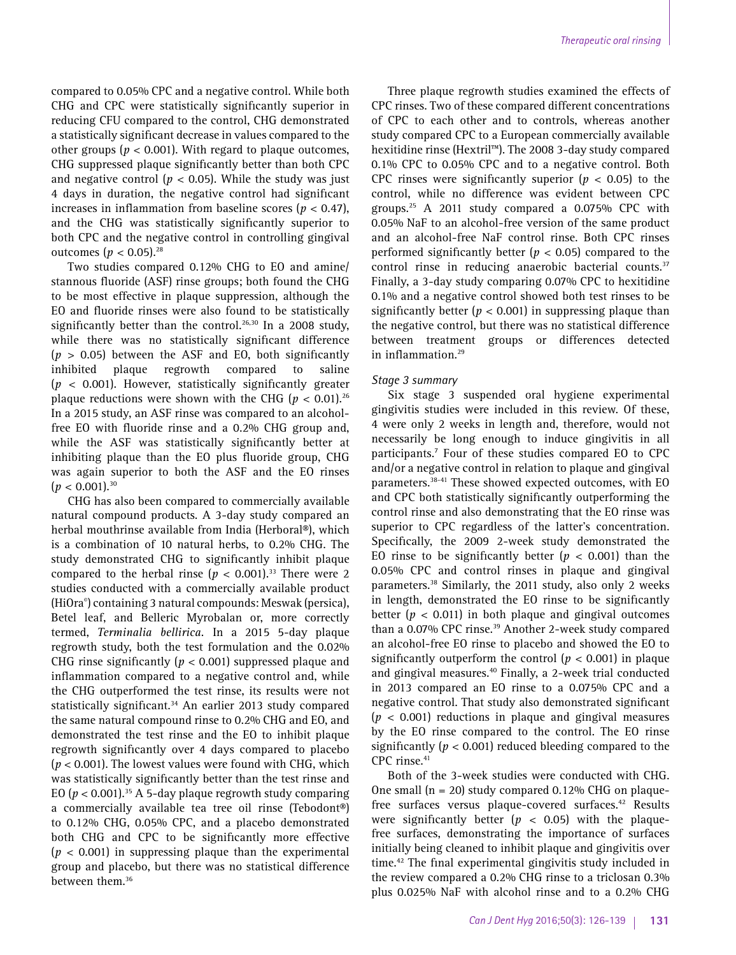compared to 0.05% CPC and a negative control. While both CHG and CPC were statistically significantly superior in reducing CFU compared to the control, CHG demonstrated a statistically significant decrease in values compared to the other groups ( $p < 0.001$ ). With regard to plaque outcomes, CHG suppressed plaque significantly better than both CPC and negative control ( $p < 0.05$ ). While the study was just 4 days in duration, the negative control had significant increases in inflammation from baseline scores ( $p < 0.47$ ), and the CHG was statistically significantly superior to both CPC and the negative control in controlling gingival outcomes ( $p < 0.05$ ).<sup>28</sup>

Two studies compared 0.12% CHG to EO and amine/ stannous fluoride (ASF) rinse groups; both found the CHG to be most effective in plaque suppression, although the EO and fluoride rinses were also found to be statistically significantly better than the control.<sup>26,30</sup> In a 2008 study, while there was no statistically significant difference (*p* > 0.05) between the ASF and EO, both significantly inhibited plaque regrowth compared to saline (*p* < 0.001). However, statistically significantly greater plaque reductions were shown with the CHG ( $p < 0.01$ ).<sup>26</sup> In a 2015 study, an ASF rinse was compared to an alcoholfree EO with fluoride rinse and a 0.2% CHG group and, while the ASF was statistically significantly better at inhibiting plaque than the EO plus fluoride group, CHG was again superior to both the ASF and the EO rinses  $(p < 0.001).^{30}$ 

CHG has also been compared to commercially available natural compound products. A 3-day study compared an herbal mouthrinse available from India (Herboral®), which is a combination of 10 natural herbs, to 0.2% CHG. The study demonstrated CHG to significantly inhibit plaque compared to the herbal rinse  $(p < 0.001)$ .<sup>33</sup> There were 2 studies conducted with a commercially available product (HiOra© ) containing 3 natural compounds: Meswak (persica), Betel leaf, and Belleric Myrobalan or, more correctly termed, *Terminalia bellirica.* In a 2015 5-day plaque regrowth study, both the test formulation and the 0.02% CHG rinse significantly ( $p < 0.001$ ) suppressed plaque and inflammation compared to a negative control and, while the CHG outperformed the test rinse, its results were not statistically significant.<sup>34</sup> An earlier 2013 study compared the same natural compound rinse to 0.2% CHG and EO, and demonstrated the test rinse and the EO to inhibit plaque regrowth significantly over 4 days compared to placebo (*p* < 0.001). The lowest values were found with CHG, which was statistically significantly better than the test rinse and EO ( $p < 0.001$ ).<sup>35</sup> A 5-day plaque regrowth study comparing a commercially available tea tree oil rinse (Tebodont®) to 0.12% CHG, 0.05% CPC, and a placebo demonstrated both CHG and CPC to be significantly more effective (*p* < 0.001) in suppressing plaque than the experimental group and placebo, but there was no statistical difference between them.<sup>36</sup>

Three plaque regrowth studies examined the effects of CPC rinses. Two of these compared different concentrations of CPC to each other and to controls, whereas another study compared CPC to a European commercially available hexitidine rinse (Hextril™). The 2008 3-day study compared 0.1% CPC to 0.05% CPC and to a negative control. Both CPC rinses were significantly superior  $(p < 0.05)$  to the control, while no difference was evident between CPC groups.25 A 2011 study compared a 0.075% CPC with 0.05% NaF to an alcohol-free version of the same product and an alcohol-free NaF control rinse. Both CPC rinses performed significantly better  $(p < 0.05)$  compared to the control rinse in reducing anaerobic bacterial counts.<sup>37</sup> Finally, a 3-day study comparing 0.07% CPC to hexitidine 0.1% and a negative control showed both test rinses to be significantly better  $(p < 0.001)$  in suppressing plaque than the negative control, but there was no statistical difference between treatment groups or differences detected in inflammation.<sup>29</sup>

## *Stage 3 summary*

Six stage 3 suspended oral hygiene experimental gingivitis studies were included in this review. Of these, 4 were only 2 weeks in length and, therefore, would not necessarily be long enough to induce gingivitis in all participants.7 Four of these studies compared EO to CPC and/or a negative control in relation to plaque and gingival parameters.<sup>38-41</sup> These showed expected outcomes, with EO and CPC both statistically significantly outperforming the control rinse and also demonstrating that the EO rinse was superior to CPC regardless of the latter's concentration. Specifically, the 2009 2-week study demonstrated the EO rinse to be significantly better  $(p < 0.001)$  than the 0.05% CPC and control rinses in plaque and gingival parameters.38 Similarly, the 2011 study, also only 2 weeks in length, demonstrated the EO rinse to be significantly better ( $p < 0.011$ ) in both plaque and gingival outcomes than a 0.07% CPC rinse.<sup>39</sup> Another 2-week study compared an alcohol-free EO rinse to placebo and showed the EO to significantly outperform the control  $(p < 0.001)$  in plaque and gingival measures.40 Finally, a 2-week trial conducted in 2013 compared an EO rinse to a 0.075% CPC and a negative control. That study also demonstrated significant (*p* < 0.001) reductions in plaque and gingival measures by the EO rinse compared to the control. The EO rinse significantly (*p* < 0.001) reduced bleeding compared to the CPC rinse.<sup>41</sup>

Both of the 3-week studies were conducted with CHG. One small ( $n = 20$ ) study compared 0.12% CHG on plaquefree surfaces versus plaque-covered surfaces.<sup>42</sup> Results were significantly better ( $p < 0.05$ ) with the plaquefree surfaces, demonstrating the importance of surfaces initially being cleaned to inhibit plaque and gingivitis over time.<sup>42</sup> The final experimental gingivitis study included in the review compared a 0.2% CHG rinse to a triclosan 0.3% plus 0.025% NaF with alcohol rinse and to a 0.2% CHG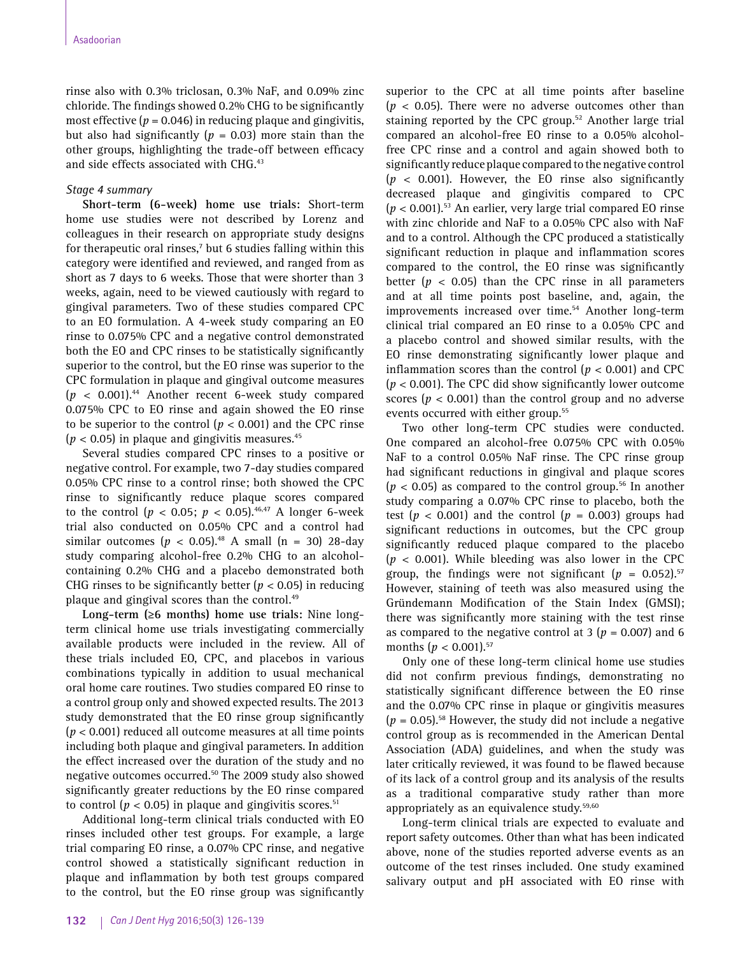rinse also with 0.3% triclosan, 0.3% NaF, and 0.09% zinc chloride. The findings showed 0.2% CHG to be significantly most effective  $(p = 0.046)$  in reducing plaque and gingivitis, but also had significantly ( $p = 0.03$ ) more stain than the other groups, highlighting the trade-off between efficacy and side effects associated with CHG.<sup>43</sup>

## *Stage 4 summary*

**Short-term (6-week) home use trials:** Short-term home use studies were not described by Lorenz and colleagues in their research on appropriate study designs for therapeutic oral rinses,<sup>7</sup> but 6 studies falling within this category were identified and reviewed, and ranged from as short as 7 days to 6 weeks. Those that were shorter than 3 weeks, again, need to be viewed cautiously with regard to gingival parameters. Two of these studies compared CPC to an EO formulation. A 4-week study comparing an EO rinse to 0.075% CPC and a negative control demonstrated both the EO and CPC rinses to be statistically significantly superior to the control, but the EO rinse was superior to the CPC formulation in plaque and gingival outcome measures (*p* < 0.001).44 Another recent 6-week study compared 0.075% CPC to EO rinse and again showed the EO rinse to be superior to the control  $(p < 0.001)$  and the CPC rinse  $(p < 0.05)$  in plaque and gingivitis measures.<sup>45</sup>

Several studies compared CPC rinses to a positive or negative control. For example, two 7-day studies compared 0.05% CPC rinse to a control rinse; both showed the CPC rinse to significantly reduce plaque scores compared to the control ( $p < 0.05$ ;  $p < 0.05$ ).<sup>46,47</sup> A longer 6-week trial also conducted on 0.05% CPC and a control had similar outcomes ( $p < 0.05$ ).<sup>48</sup> A small (n = 30) 28-day study comparing alcohol-free 0.2% CHG to an alcoholcontaining 0.2% CHG and a placebo demonstrated both CHG rinses to be significantly better (*p* < 0.05) in reducing plaque and gingival scores than the control.<sup>49</sup>

**Long-term (≥6 months) home use trials:** Nine longterm clinical home use trials investigating commercially available products were included in the review. All of these trials included EO, CPC, and placebos in various combinations typically in addition to usual mechanical oral home care routines. Two studies compared EO rinse to a control group only and showed expected results. The 2013 study demonstrated that the EO rinse group significantly (*p* < 0.001) reduced all outcome measures at all time points including both plaque and gingival parameters. In addition the effect increased over the duration of the study and no negative outcomes occurred.<sup>50</sup> The 2009 study also showed significantly greater reductions by the EO rinse compared to control ( $p < 0.05$ ) in plaque and gingivitis scores.<sup>51</sup>

Additional long-term clinical trials conducted with EO rinses included other test groups. For example, a large trial comparing EO rinse, a 0.07% CPC rinse, and negative control showed a statistically significant reduction in plaque and inflammation by both test groups compared to the control, but the EO rinse group was significantly superior to the CPC at all time points after baseline  $(p < 0.05)$ . There were no adverse outcomes other than staining reported by the CPC group.52 Another large trial compared an alcohol-free EO rinse to a 0.05% alcoholfree CPC rinse and a control and again showed both to significantly reduce plaque compared to the negative control  $(p < 0.001)$ . However, the EO rinse also significantly decreased plaque and gingivitis compared to CPC  $(p < 0.001)$ .<sup>53</sup> An earlier, very large trial compared EO rinse with zinc chloride and NaF to a 0.05% CPC also with NaF and to a control. Although the CPC produced a statistically significant reduction in plaque and inflammation scores compared to the control, the EO rinse was significantly better  $(p < 0.05)$  than the CPC rinse in all parameters and at all time points post baseline, and, again, the improvements increased over time.<sup>54</sup> Another long-term clinical trial compared an EO rinse to a 0.05% CPC and a placebo control and showed similar results, with the EO rinse demonstrating significantly lower plaque and inflammation scores than the control  $(p < 0.001)$  and CPC (*p* < 0.001). The CPC did show significantly lower outcome scores ( $p < 0.001$ ) than the control group and no adverse events occurred with either group.<sup>55</sup>

Two other long-term CPC studies were conducted. One compared an alcohol-free 0.075% CPC with 0.05% NaF to a control 0.05% NaF rinse. The CPC rinse group had significant reductions in gingival and plaque scores  $(p < 0.05)$  as compared to the control group.<sup>56</sup> In another study comparing a 0.07% CPC rinse to placebo, both the test ( $p < 0.001$ ) and the control ( $p = 0.003$ ) groups had significant reductions in outcomes, but the CPC group significantly reduced plaque compared to the placebo (*p* < 0.001). While bleeding was also lower in the CPC group, the findings were not significant  $(p = 0.052).$ <sup>57</sup> However, staining of teeth was also measured using the Gründemann Modification of the Stain Index (GMSI); there was significantly more staining with the test rinse as compared to the negative control at  $3 (p = 0.007)$  and 6 months  $(p < 0.001).$ <sup>57</sup>

Only one of these long-term clinical home use studies did not confirm previous findings, demonstrating no statistically significant difference between the EO rinse and the 0.07% CPC rinse in plaque or gingivitis measures  $(p = 0.05)$ <sup>58</sup> However, the study did not include a negative control group as is recommended in the American Dental Association (ADA) guidelines, and when the study was later critically reviewed, it was found to be flawed because of its lack of a control group and its analysis of the results as a traditional comparative study rather than more appropriately as an equivalence study.<sup>59,60</sup>

Long-term clinical trials are expected to evaluate and report safety outcomes. Other than what has been indicated above, none of the studies reported adverse events as an outcome of the test rinses included. One study examined salivary output and pH associated with EO rinse with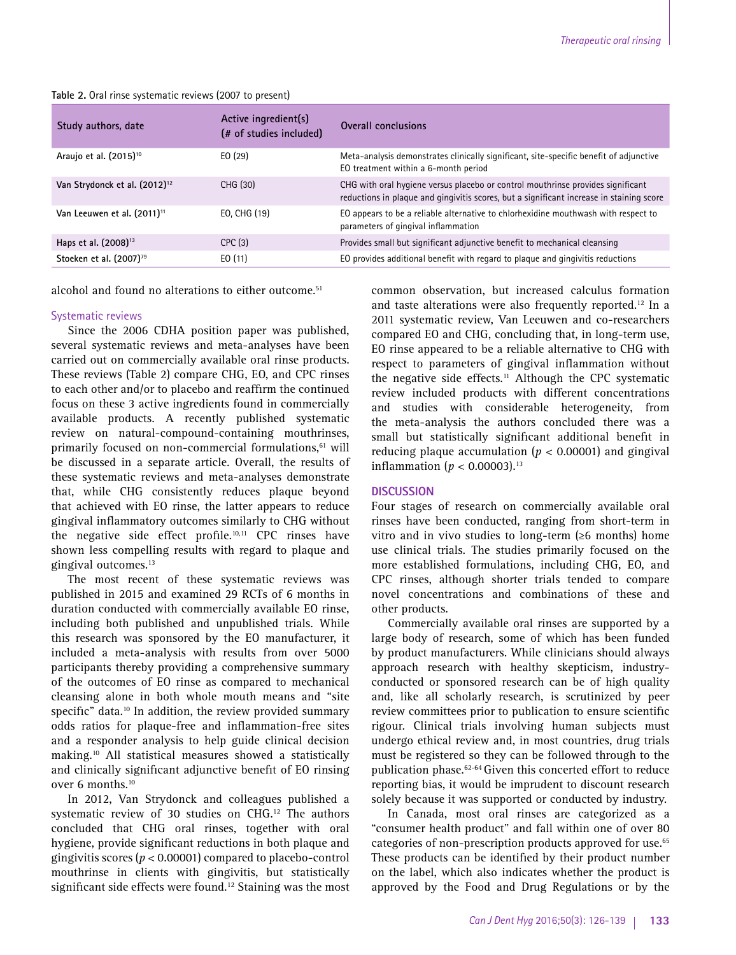| Study authors, date                       | Active ingredient(s)<br>(# of studies included) | Overall conclusions                                                                                                                                                         |
|-------------------------------------------|-------------------------------------------------|-----------------------------------------------------------------------------------------------------------------------------------------------------------------------------|
| Araujo et al. (2015) <sup>10</sup>        | E(0 (29)                                        | Meta-analysis demonstrates clinically significant, site-specific benefit of adjunctive<br>EO treatment within a 6-month period                                              |
| Van Strydonck et al. (2012) <sup>12</sup> | CHG (30)                                        | CHG with oral hygiene versus placebo or control mouthrinse provides significant<br>reductions in plaque and gingivitis scores, but a significant increase in staining score |
| Van Leeuwen et al. (2011) <sup>11</sup>   | EO, CHG (19)                                    | EO appears to be a reliable alternative to chlorhexidine mouthwash with respect to<br>parameters of gingival inflammation                                                   |
| Haps et al. (2008) <sup>13</sup>          | CPC(3)                                          | Provides small but significant adjunctive benefit to mechanical cleansing                                                                                                   |
| Stoeken et al. (2007) <sup>79</sup>       | EO(11)                                          | EO provides additional benefit with regard to plaque and gingivitis reductions                                                                                              |

**Table 2.** Oral rinse systematic reviews (2007 to present)

alcohol and found no alterations to either outcome.<sup>51</sup>

## Systematic reviews

Since the 2006 CDHA position paper was published, several systematic reviews and meta-analyses have been carried out on commercially available oral rinse products. These reviews (Table 2) compare CHG, EO, and CPC rinses to each other and/or to placebo and reaffirm the continued focus on these 3 active ingredients found in commercially available products. A recently published systematic review on natural-compound-containing mouthrinses, primarily focused on non-commercial formulations,<sup>61</sup> will be discussed in a separate article. Overall, the results of these systematic reviews and meta-analyses demonstrate that, while CHG consistently reduces plaque beyond that achieved with EO rinse, the latter appears to reduce gingival inflammatory outcomes similarly to CHG without the negative side effect profile.<sup>10,11</sup> CPC rinses have shown less compelling results with regard to plaque and gingival outcomes.13

The most recent of these systematic reviews was published in 2015 and examined 29 RCTs of 6 months in duration conducted with commercially available EO rinse, including both published and unpublished trials. While this research was sponsored by the EO manufacturer, it included a meta-analysis with results from over 5000 participants thereby providing a comprehensive summary of the outcomes of EO rinse as compared to mechanical cleansing alone in both whole mouth means and "site specific" data.<sup>10</sup> In addition, the review provided summary odds ratios for plaque-free and inflammation-free sites and a responder analysis to help guide clinical decision making.10 All statistical measures showed a statistically and clinically significant adjunctive benefit of EO rinsing over 6 months.<sup>10</sup>

In 2012, Van Strydonck and colleagues published a systematic review of 30 studies on CHG.<sup>12</sup> The authors concluded that CHG oral rinses, together with oral hygiene, provide significant reductions in both plaque and gingivitis scores (*p* < 0.00001) compared to placebo-control mouthrinse in clients with gingivitis, but statistically significant side effects were found.<sup>12</sup> Staining was the most common observation, but increased calculus formation and taste alterations were also frequently reported.12 In a 2011 systematic review, Van Leeuwen and co-researchers compared EO and CHG, concluding that, in long-term use, EO rinse appeared to be a reliable alternative to CHG with respect to parameters of gingival inflammation without the negative side effects.<sup>11</sup> Although the CPC systematic review included products with different concentrations and studies with considerable heterogeneity, from the meta-analysis the authors concluded there was a small but statistically significant additional benefit in reducing plaque accumulation ( $p < 0.00001$ ) and gingival inflammation ( $p < 0.00003$ ).<sup>13</sup>

## **DISCUSSION**

Four stages of research on commercially available oral rinses have been conducted, ranging from short-term in vitro and in vivo studies to long-term (≥6 months) home use clinical trials. The studies primarily focused on the more established formulations, including CHG, EO, and CPC rinses, although shorter trials tended to compare novel concentrations and combinations of these and other products.

Commercially available oral rinses are supported by a large body of research, some of which has been funded by product manufacturers. While clinicians should always approach research with healthy skepticism, industryconducted or sponsored research can be of high quality and, like all scholarly research, is scrutinized by peer review committees prior to publication to ensure scientific rigour. Clinical trials involving human subjects must undergo ethical review and, in most countries, drug trials must be registered so they can be followed through to the publication phase.<sup>62-64</sup> Given this concerted effort to reduce reporting bias, it would be imprudent to discount research solely because it was supported or conducted by industry.

In Canada, most oral rinses are categorized as a "consumer health product" and fall within one of over 80 categories of non-prescription products approved for use.<sup>65</sup> These products can be identified by their product number on the label, which also indicates whether the product is approved by the Food and Drug Regulations or by the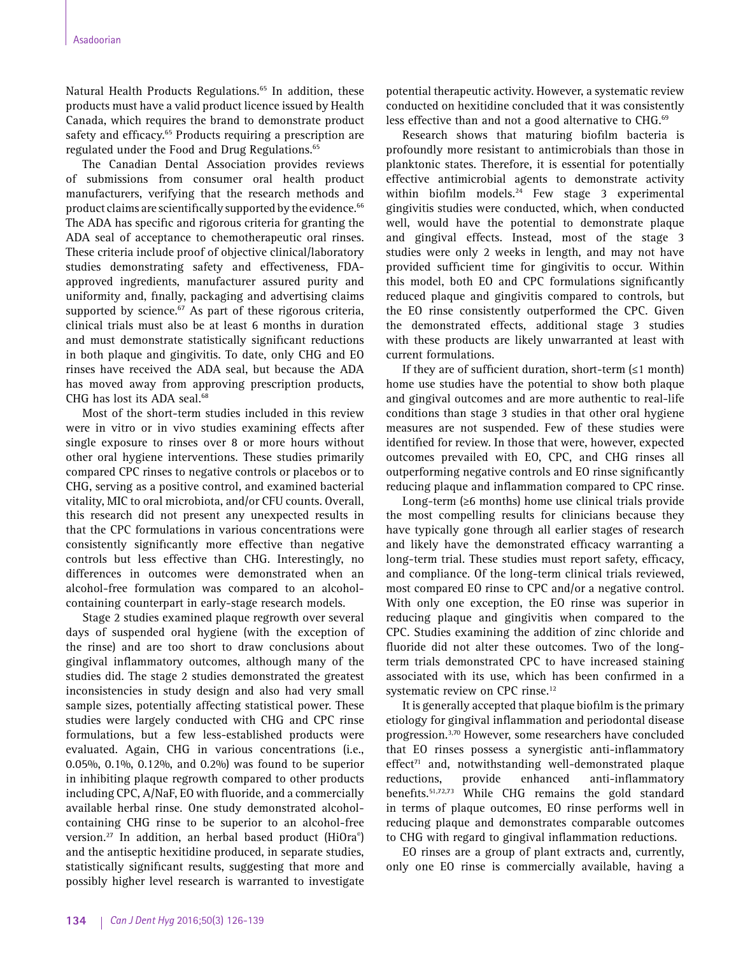Natural Health Products Regulations.<sup>65</sup> In addition, these products must have a valid product licence issued by Health Canada, which requires the brand to demonstrate product safety and efficacy.<sup>65</sup> Products requiring a prescription are regulated under the Food and Drug Regulations.<sup>65</sup>

The Canadian Dental Association provides reviews of submissions from consumer oral health product manufacturers, verifying that the research methods and product claims are scientifically supported by the evidence.<sup>66</sup> The ADA has specific and rigorous criteria for granting the ADA seal of acceptance to chemotherapeutic oral rinses. These criteria include proof of objective clinical/laboratory studies demonstrating safety and effectiveness, FDAapproved ingredients, manufacturer assured purity and uniformity and, finally, packaging and advertising claims supported by science.<sup>67</sup> As part of these rigorous criteria, clinical trials must also be at least 6 months in duration and must demonstrate statistically significant reductions in both plaque and gingivitis. To date, only CHG and EO rinses have received the ADA seal, but because the ADA has moved away from approving prescription products, CHG has lost its ADA seal.<sup>68</sup>

Most of the short-term studies included in this review were in vitro or in vivo studies examining effects after single exposure to rinses over 8 or more hours without other oral hygiene interventions. These studies primarily compared CPC rinses to negative controls or placebos or to CHG, serving as a positive control, and examined bacterial vitality, MIC to oral microbiota, and/or CFU counts. Overall, this research did not present any unexpected results in that the CPC formulations in various concentrations were consistently significantly more effective than negative controls but less effective than CHG. Interestingly, no differences in outcomes were demonstrated when an alcohol-free formulation was compared to an alcoholcontaining counterpart in early-stage research models.

Stage 2 studies examined plaque regrowth over several days of suspended oral hygiene (with the exception of the rinse) and are too short to draw conclusions about gingival inflammatory outcomes, although many of the studies did. The stage 2 studies demonstrated the greatest inconsistencies in study design and also had very small sample sizes, potentially affecting statistical power. These studies were largely conducted with CHG and CPC rinse formulations, but a few less-established products were evaluated. Again, CHG in various concentrations (i.e., 0.05%, 0.1%, 0.12%, and 0.2%) was found to be superior in inhibiting plaque regrowth compared to other products including CPC, A/NaF, EO with fluoride, and a commercially available herbal rinse. One study demonstrated alcoholcontaining CHG rinse to be superior to an alcohol-free version.<sup>27</sup> In addition, an herbal based product (HiOra®) and the antiseptic hexitidine produced, in separate studies, statistically significant results, suggesting that more and possibly higher level research is warranted to investigate

potential therapeutic activity. However, a systematic review conducted on hexitidine concluded that it was consistently less effective than and not a good alternative to CHG.<sup>69</sup>

Research shows that maturing biofilm bacteria is profoundly more resistant to antimicrobials than those in planktonic states. Therefore, it is essential for potentially effective antimicrobial agents to demonstrate activity within biofilm models.<sup>24</sup> Few stage 3 experimental gingivitis studies were conducted, which, when conducted well, would have the potential to demonstrate plaque and gingival effects. Instead, most of the stage 3 studies were only 2 weeks in length, and may not have provided sufficient time for gingivitis to occur. Within this model, both EO and CPC formulations significantly reduced plaque and gingivitis compared to controls, but the EO rinse consistently outperformed the CPC. Given the demonstrated effects, additional stage 3 studies with these products are likely unwarranted at least with current formulations.

If they are of sufficient duration, short-term  $(\leq 1 \text{ month})$ home use studies have the potential to show both plaque and gingival outcomes and are more authentic to real-life conditions than stage 3 studies in that other oral hygiene measures are not suspended. Few of these studies were identified for review. In those that were, however, expected outcomes prevailed with EO, CPC, and CHG rinses all outperforming negative controls and EO rinse significantly reducing plaque and inflammation compared to CPC rinse.

Long-term (≥6 months) home use clinical trials provide the most compelling results for clinicians because they have typically gone through all earlier stages of research and likely have the demonstrated efficacy warranting a long-term trial. These studies must report safety, efficacy, and compliance. Of the long-term clinical trials reviewed, most compared EO rinse to CPC and/or a negative control. With only one exception, the EO rinse was superior in reducing plaque and gingivitis when compared to the CPC. Studies examining the addition of zinc chloride and fluoride did not alter these outcomes. Two of the longterm trials demonstrated CPC to have increased staining associated with its use, which has been confirmed in a systematic review on CPC rinse.<sup>12</sup>

It is generally accepted that plaque biofilm is the primary etiology for gingival inflammation and periodontal disease progression.3,70 However, some researchers have concluded that EO rinses possess a synergistic anti-inflammatory effect<sup>71</sup> and, notwithstanding well-demonstrated plaque reductions, provide enhanced anti-inflammatory benefits.51,72,73 While CHG remains the gold standard in terms of plaque outcomes, EO rinse performs well in reducing plaque and demonstrates comparable outcomes to CHG with regard to gingival inflammation reductions.

EO rinses are a group of plant extracts and, currently, only one EO rinse is commercially available, having a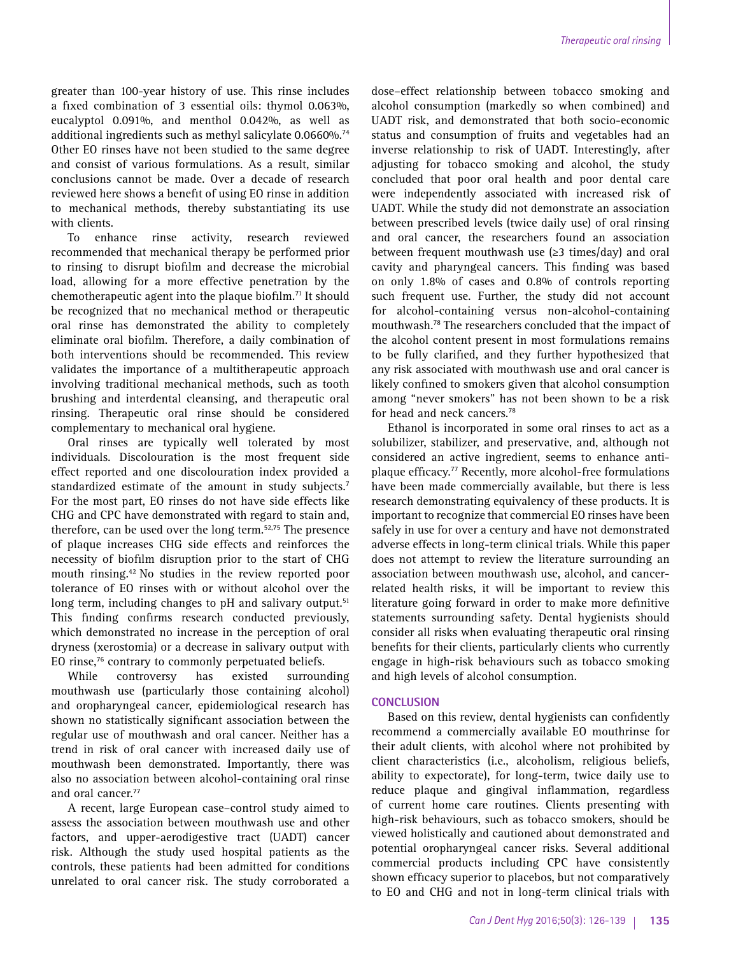greater than 100-year history of use. This rinse includes a fixed combination of 3 essential oils: thymol 0.063%, eucalyptol 0.091%, and menthol 0.042%, as well as additional ingredients such as methyl salicylate 0.0660%.<sup>74</sup> Other EO rinses have not been studied to the same degree and consist of various formulations. As a result, similar conclusions cannot be made. Over a decade of research reviewed here shows a benefit of using EO rinse in addition to mechanical methods, thereby substantiating its use with clients.

To enhance rinse activity, research reviewed recommended that mechanical therapy be performed prior to rinsing to disrupt biofilm and decrease the microbial load, allowing for a more effective penetration by the chemotherapeutic agent into the plaque biofilm.<sup>71</sup> It should be recognized that no mechanical method or therapeutic oral rinse has demonstrated the ability to completely eliminate oral biofilm. Therefore, a daily combination of both interventions should be recommended. This review validates the importance of a multitherapeutic approach involving traditional mechanical methods, such as tooth brushing and interdental cleansing, and therapeutic oral rinsing. Therapeutic oral rinse should be considered complementary to mechanical oral hygiene.

Oral rinses are typically well tolerated by most individuals. Discolouration is the most frequent side effect reported and one discolouration index provided a standardized estimate of the amount in study subjects.<sup>7</sup> For the most part, EO rinses do not have side effects like CHG and CPC have demonstrated with regard to stain and, therefore, can be used over the long term.<sup>52,75</sup> The presence of plaque increases CHG side effects and reinforces the necessity of biofilm disruption prior to the start of CHG mouth rinsing.42 No studies in the review reported poor tolerance of EO rinses with or without alcohol over the long term, including changes to pH and salivary output.<sup>51</sup> This finding confirms research conducted previously, which demonstrated no increase in the perception of oral dryness (xerostomia) or a decrease in salivary output with EO rinse,76 contrary to commonly perpetuated beliefs.

While controversy has existed surrounding mouthwash use (particularly those containing alcohol) and oropharyngeal cancer, epidemiological research has shown no statistically significant association between the regular use of mouthwash and oral cancer. Neither has a trend in risk of oral cancer with increased daily use of mouthwash been demonstrated. Importantly, there was also no association between alcohol-containing oral rinse and oral cancer.<sup>77</sup>

A recent, large European case–control study aimed to assess the association between mouthwash use and other factors, and upper-aerodigestive tract (UADT) cancer risk. Although the study used hospital patients as the controls, these patients had been admitted for conditions unrelated to oral cancer risk. The study corroborated a dose–effect relationship between tobacco smoking and alcohol consumption (markedly so when combined) and UADT risk, and demonstrated that both socio-economic status and consumption of fruits and vegetables had an inverse relationship to risk of UADT. Interestingly, after adjusting for tobacco smoking and alcohol, the study concluded that poor oral health and poor dental care were independently associated with increased risk of UADT. While the study did not demonstrate an association between prescribed levels (twice daily use) of oral rinsing and oral cancer, the researchers found an association between frequent mouthwash use  $(\geq 3$  times/day) and oral cavity and pharyngeal cancers. This finding was based on only 1.8% of cases and 0.8% of controls reporting such frequent use. Further, the study did not account for alcohol-containing versus non-alcohol-containing mouthwash.78 The researchers concluded that the impact of the alcohol content present in most formulations remains to be fully clarified, and they further hypothesized that any risk associated with mouthwash use and oral cancer is likely confined to smokers given that alcohol consumption among "never smokers" has not been shown to be a risk for head and neck cancers.<sup>78</sup>

Ethanol is incorporated in some oral rinses to act as a solubilizer, stabilizer, and preservative, and, although not considered an active ingredient, seems to enhance antiplaque efficacy.77 Recently, more alcohol-free formulations have been made commercially available, but there is less research demonstrating equivalency of these products. It is important to recognize that commercial EO rinses have been safely in use for over a century and have not demonstrated adverse effects in long-term clinical trials. While this paper does not attempt to review the literature surrounding an association between mouthwash use, alcohol, and cancerrelated health risks, it will be important to review this literature going forward in order to make more definitive statements surrounding safety. Dental hygienists should consider all risks when evaluating therapeutic oral rinsing benefits for their clients, particularly clients who currently engage in high-risk behaviours such as tobacco smoking and high levels of alcohol consumption.

## **CONCLUSION**

Based on this review, dental hygienists can confidently recommend a commercially available EO mouthrinse for their adult clients, with alcohol where not prohibited by client characteristics (i.e., alcoholism, religious beliefs, ability to expectorate), for long-term, twice daily use to reduce plaque and gingival inflammation, regardless of current home care routines. Clients presenting with high-risk behaviours, such as tobacco smokers, should be viewed holistically and cautioned about demonstrated and potential oropharyngeal cancer risks. Several additional commercial products including CPC have consistently shown efficacy superior to placebos, but not comparatively to EO and CHG and not in long-term clinical trials with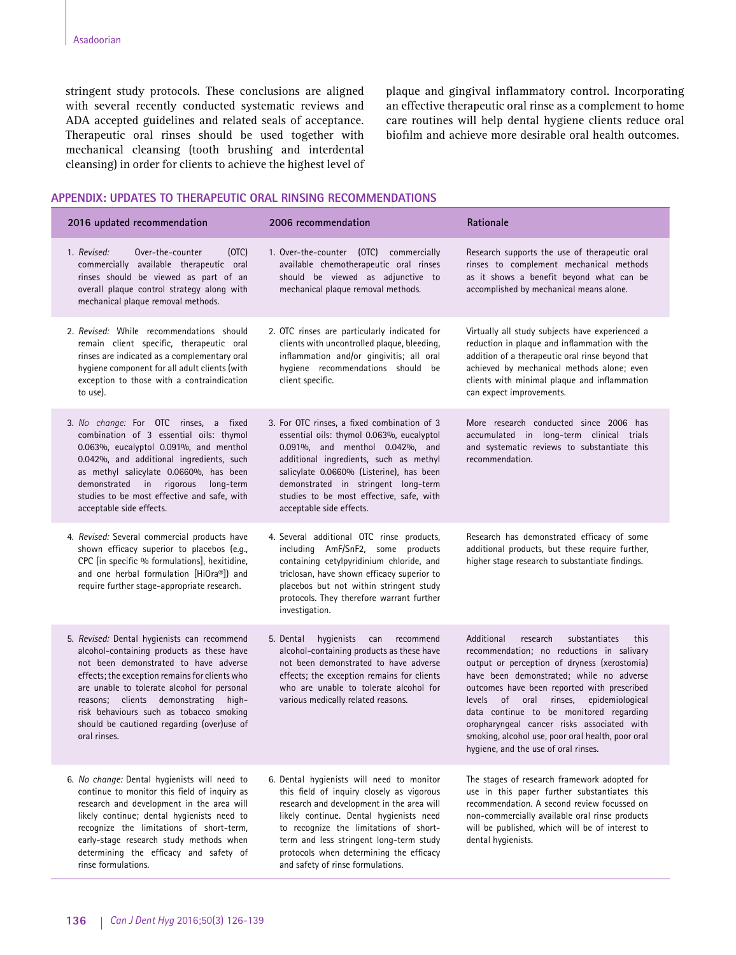stringent study protocols. These conclusions are aligned with several recently conducted systematic reviews and ADA accepted guidelines and related seals of acceptance. Therapeutic oral rinses should be used together with mechanical cleansing (tooth brushing and interdental cleansing) in order for clients to achieve the highest level of plaque and gingival inflammatory control. Incorporating an effective therapeutic oral rinse as a complement to home care routines will help dental hygiene clients reduce oral biofilm and achieve more desirable oral health outcomes.

# **APPENDIX: UPDATES TO THERAPEUTIC ORAL RINSING RECOMMENDATIONS**

| 2016 updated recommendation                                                                                                                                                                                                                                                                                                                                                         | 2006 recommendation                                                                                                                                                                                                                                                                                                                                 | Rationale                                                                                                                                                                                                                                                                                                                                                                                                                                                                  |  |
|-------------------------------------------------------------------------------------------------------------------------------------------------------------------------------------------------------------------------------------------------------------------------------------------------------------------------------------------------------------------------------------|-----------------------------------------------------------------------------------------------------------------------------------------------------------------------------------------------------------------------------------------------------------------------------------------------------------------------------------------------------|----------------------------------------------------------------------------------------------------------------------------------------------------------------------------------------------------------------------------------------------------------------------------------------------------------------------------------------------------------------------------------------------------------------------------------------------------------------------------|--|
| 1. Revised:<br>Over-the-counter<br>(OTC)<br>commercially available therapeutic oral<br>rinses should be viewed as part of an<br>overall plaque control strategy along with<br>mechanical plaque removal methods.                                                                                                                                                                    | 1. Over-the-counter (OTC) commercially<br>available chemotherapeutic oral rinses<br>should be viewed as adjunctive to<br>mechanical plaque removal methods.                                                                                                                                                                                         | Research supports the use of therapeutic oral<br>rinses to complement mechanical methods<br>as it shows a benefit beyond what can be<br>accomplished by mechanical means alone.                                                                                                                                                                                                                                                                                            |  |
| 2. Revised: While recommendations should<br>remain client specific, therapeutic oral<br>rinses are indicated as a complementary oral<br>hygiene component for all adult clients (with<br>exception to those with a contraindication<br>to use).                                                                                                                                     | 2. OTC rinses are particularly indicated for<br>clients with uncontrolled plaque, bleeding,<br>inflammation and/or gingivitis; all oral<br>hygiene recommendations should be<br>client specific.                                                                                                                                                    | Virtually all study subjects have experienced a<br>reduction in plaque and inflammation with the<br>addition of a therapeutic oral rinse beyond that<br>achieved by mechanical methods alone; even<br>clients with minimal plaque and inflammation<br>can expect improvements.                                                                                                                                                                                             |  |
| 3. No change: For OTC rinses, a fixed<br>combination of 3 essential oils: thymol<br>0.063%, eucalyptol 0.091%, and menthol<br>0.042%, and additional ingredients, such<br>as methyl salicylate 0.0660%, has been<br>demonstrated in rigorous<br>long-term<br>studies to be most effective and safe, with<br>acceptable side effects.                                                | 3. For OTC rinses, a fixed combination of 3<br>essential oils: thymol 0.063%, eucalyptol<br>0.091%, and menthol 0.042%, and<br>additional ingredients, such as methyl<br>salicylate 0.0660% (Listerine), has been<br>demonstrated in stringent long-term<br>studies to be most effective, safe, with<br>acceptable side effects.                    | More research conducted since 2006 has<br>accumulated in long-term clinical trials<br>and systematic reviews to substantiate this<br>recommendation.                                                                                                                                                                                                                                                                                                                       |  |
| 4. Revised: Several commercial products have<br>shown efficacy superior to placebos (e.g.,<br>CPC [in specific % formulations], hexitidine,<br>and one herbal formulation [HiOra®]) and<br>require further stage-appropriate research.                                                                                                                                              | 4. Several additional OTC rinse products,<br>including AmF/SnF2, some products<br>containing cetylpyridinium chloride, and<br>triclosan, have shown efficacy superior to<br>placebos but not within stringent study<br>protocols. They therefore warrant further<br>investigation.                                                                  | Research has demonstrated efficacy of some<br>additional products, but these require further,<br>higher stage research to substantiate findings.                                                                                                                                                                                                                                                                                                                           |  |
| 5. Revised: Dental hygienists can recommend<br>alcohol-containing products as these have<br>not been demonstrated to have adverse<br>effects; the exception remains for clients who<br>are unable to tolerate alcohol for personal<br>reasons; clients demonstrating high-<br>risk behaviours such as tobacco smoking<br>should be cautioned regarding (over)use of<br>oral rinses. | 5. Dental<br>hygienists<br>can<br>recommend<br>alcohol-containing products as these have<br>not been demonstrated to have adverse<br>effects; the exception remains for clients<br>who are unable to tolerate alcohol for<br>various medically related reasons.                                                                                     | Additional<br>substantiates<br>research<br>this<br>recommendation; no reductions in salivary<br>output or perception of dryness (xerostomia)<br>have been demonstrated; while no adverse<br>outcomes have been reported with prescribed<br>levels of oral rinses,<br>epidemiological<br>data continue to be monitored regarding<br>oropharyngeal cancer risks associated with<br>smoking, alcohol use, poor oral health, poor oral<br>hygiene, and the use of oral rinses. |  |
| 6. No change: Dental hygienists will need to<br>continue to monitor this field of inquiry as<br>research and development in the area will<br>likely continue; dental hygienists need to<br>recognize the limitations of short-term,<br>early-stage research study methods when<br>determining the efficacy and safety of<br>rinse formulations.                                     | 6. Dental hygienists will need to monitor<br>this field of inquiry closely as vigorous<br>research and development in the area will<br>likely continue. Dental hygienists need<br>to recognize the limitations of short-<br>term and less stringent long-term study<br>protocols when determining the efficacy<br>and safety of rinse formulations. | The stages of research framework adopted for<br>use in this paper further substantiates this<br>recommendation. A second review focussed on<br>non-commercially available oral rinse products<br>will be published, which will be of interest to<br>dental hygienists.                                                                                                                                                                                                     |  |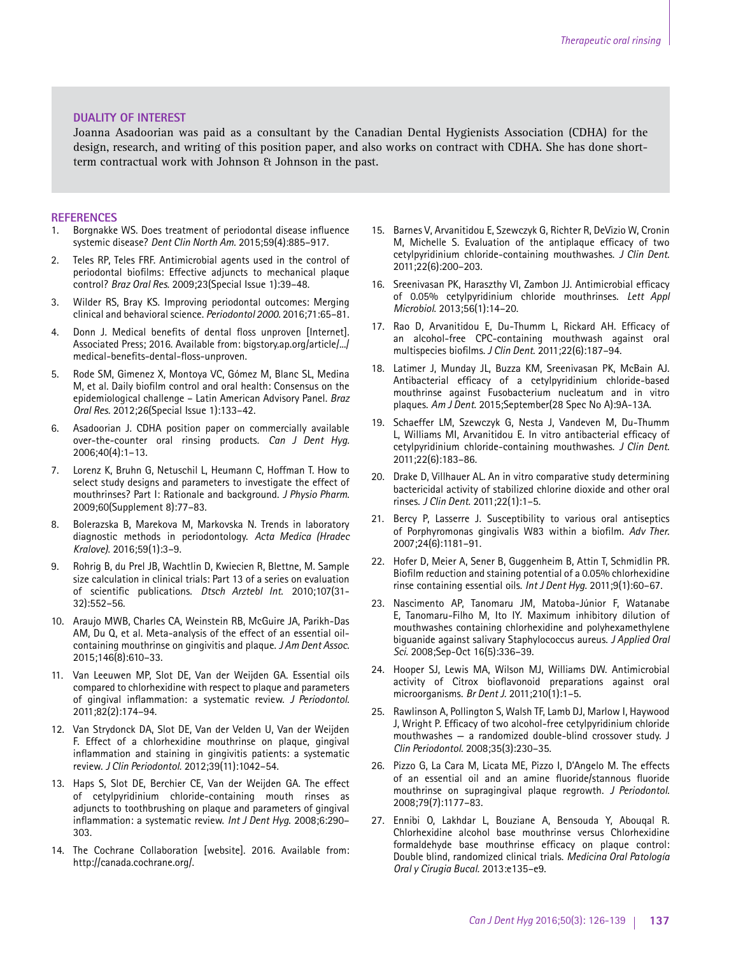#### **DUALITY OF INTEREST**

Joanna Asadoorian was paid as a consultant by the Canadian Dental Hygienists Association (CDHA) for the design, research, and writing of this position paper, and also works on contract with CDHA. She has done shortterm contractual work with Johnson & Johnson in the past.

#### **REFERENCES**

- 1. Borgnakke WS. Does treatment of periodontal disease influence systemic disease? *Dent Clin North Am.* 2015;59(4):885–917.
- 2. Teles RP, Teles FRF. Antimicrobial agents used in the control of periodontal biofilms: Effective adjuncts to mechanical plaque control? *Braz Oral Res.* 2009;23(Special Issue 1):39–48.
- 3. Wilder RS, Bray KS. Improving periodontal outcomes: Merging clinical and behavioral science. *Periodontol 2000.* 2016;71:65–81.
- 4. Donn J. Medical benefits of dental floss unproven [Internet]. Associated Press; 2016. Available from: bigstory.ap.org/article/.../ medical-benefits-dental-floss-unproven.
- 5. Rode SM, Gimenez X, Montoya VC, Gómez M, Blanc SL, Medina M, et al. Daily biofilm control and oral health: Consensus on the epidemiological challenge – Latin American Advisory Panel. *Braz Oral Res.* 2012;26(Special Issue 1):133–42.
- 6. Asadoorian J. CDHA position paper on commercially available over-the-counter oral rinsing products. *Can J Dent Hyg.* 2006;40(4):1–13.
- 7. Lorenz K, Bruhn G, Netuschil L, Heumann C, Hoffman T. How to select study designs and parameters to investigate the effect of mouthrinses? Part I: Rationale and background. *J Physio Pharm*. 2009;60(Supplement 8):77–83.
- 8. Bolerazska B, Marekova M, Markovska N. Trends in laboratory diagnostic methods in periodontology. *Acta Medica (Hradec Kralove)*. 2016;59(1):3–9.
- 9. Rohrig B, du Prel JB, Wachtlin D, Kwiecien R, Blettne, M. Sample size calculation in clinical trials: Part 13 of a series on evaluation of scientific publications. *Dtsch Arztebl Int*. 2010;107(31- 32):552–56.
- 10. Araujo MWB, Charles CA, Weinstein RB, McGuire JA, Parikh-Das AM, Du Q, et al. Meta-analysis of the effect of an essential oilcontaining mouthrinse on gingivitis and plaque. *J Am Dent Assoc*. 2015;146(8):610–33.
- 11. Van Leeuwen MP, Slot DE, Van der Weijden GA. Essential oils compared to chlorhexidine with respect to plaque and parameters of gingival inflammation: a systematic review. *J Periodontol*. 2011;82(2):174–94.
- 12. Van Strydonck DA, Slot DE, Van der Velden U, Van der Weijden F. Effect of a chlorhexidine mouthrinse on plaque, gingival inflammation and staining in gingivitis patients: a systematic review. *J Clin Periodontol*. 2012;39(11):1042–54.
- 13. Haps S, Slot DE, Berchier CE, Van der Weijden GA. The effect of cetylpyridinium chloride-containing mouth rinses as adjuncts to toothbrushing on plaque and parameters of gingival inflammation: a systematic review. *Int J Dent Hyg*. 2008;6:290– 303.
- 14. The Cochrane Collaboration [website]. 2016. Available from: http://canada.cochrane.org/.
- 15. Barnes V, Arvanitidou E, Szewczyk G, Richter R, DeVizio W, Cronin M, Michelle S. Evaluation of the antiplaque efficacy of two cetylpyridinium chloride-containing mouthwashes. *J Clin Dent*. 2011;22(6):200–203.
- 16. Sreenivasan PK, Haraszthy VI, Zambon JJ. Antimicrobial efficacy of 0.05% cetylpyridinium chloride mouthrinses. *Lett Appl Microbiol*. 2013;56(1):14–20.
- 17. Rao D, Arvanitidou E, Du-Thumm L, Rickard AH. Efficacy of an alcohol-free CPC-containing mouthwash against oral multispecies biofilms. *J Clin Dent*. 2011;22(6):187–94.
- 18. Latimer J, Munday JL, Buzza KM, Sreenivasan PK, McBain AJ. Antibacterial efficacy of a cetylpyridinium chloride-based mouthrinse against Fusobacterium nucleatum and in vitro plaques. *Am J Dent*. 2015;September(28 Spec No A):9A-13A.
- 19. Schaeffer LM, Szewczyk G, Nesta J, Vandeven M, Du-Thumm L, Williams MI, Arvanitidou E. In vitro antibacterial efficacy of cetylpyridinium chloride-containing mouthwashes. *J Clin Dent*. 2011;22(6):183–86.
- 20. Drake D, Villhauer AL. An in vitro comparative study determining bactericidal activity of stabilized chlorine dioxide and other oral rinses. *J Clin Dent*. 2011;22(1):1–5.
- 21. Bercy P, Lasserre J. Susceptibility to various oral antiseptics of Porphyromonas gingivalis W83 within a biofilm. *Adv Ther*. 2007;24(6):1181–91.
- 22. Hofer D, Meier A, Sener B, Guggenheim B, Attin T, Schmidlin PR. Biofilm reduction and staining potential of a 0.05% chlorhexidine rinse containing essential oils. *Int J Dent Hyg*. 2011;9(1):60–67.
- 23. Nascimento AP, Tanomaru JM, Matoba-Júnior F, Watanabe E, Tanomaru-Filho M, Ito IY. Maximum inhibitory dilution of mouthwashes containing chlorhexidine and polyhexamethylene biguanide against salivary Staphylococcus aureus. *J Applied Oral Sci*. 2008;Sep-Oct 16(5):336–39.
- 24. Hooper SJ, Lewis MA, Wilson MJ, Williams DW. Antimicrobial activity of Citrox bioflavonoid preparations against oral microorganisms. *Br Dent J.* 2011;210(1):1–5.
- 25. Rawlinson A, Pollington S, Walsh TF, Lamb DJ, Marlow I, Haywood J, Wright P. Efficacy of two alcohol-free cetylpyridinium chloride mouthwashes — a randomized double-blind crossover study. J *Clin Periodontol*. 2008;35(3):230–35.
- 26. Pizzo G, La Cara M, Licata ME, Pizzo I, D'Angelo M. The effects of an essential oil and an amine fluoride/stannous fluoride mouthrinse on supragingival plaque regrowth. *J Periodontol.*  2008;79(7):1177–83.
- 27. Ennibi O, Lakhdar L, Bouziane A, Bensouda Y, Abouqal R. Chlorhexidine alcohol base mouthrinse versus Chlorhexidine formaldehyde base mouthrinse efficacy on plaque control: Double blind, randomized clinical trials. *Medicina Oral Patología Oral y Cirugia Bucal.* 2013:e135–e9.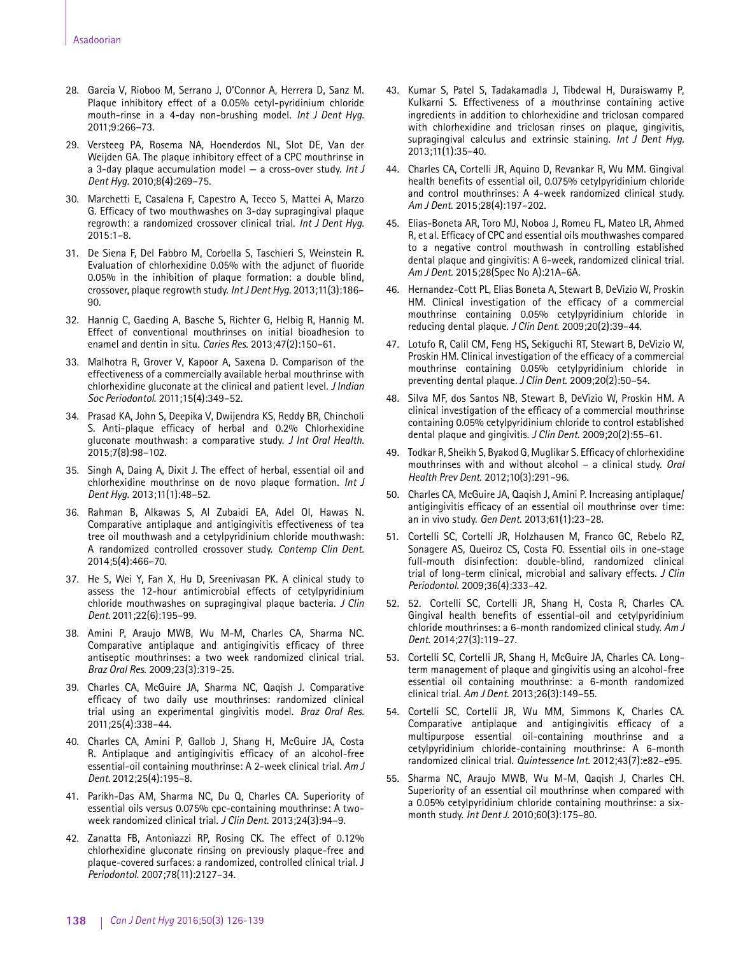- 28. Garcia V, Rioboo M, Serrano J, O'Connor A, Herrera D, Sanz M. Plaque inhibitory effect of a 0.05% cetyl-pyridinium chloride mouth-rinse in a 4-day non-brushing model. *Int J Dent Hyg.*  2011;9:266–73.
- 29. Versteeg PA, Rosema NA, Hoenderdos NL, Slot DE, Van der Weijden GA. The plaque inhibitory effect of a CPC mouthrinse in a 3-day plaque accumulation model — a cross-over study. *Int J Dent Hyg.* 2010;8(4):269–75.
- 30. Marchetti E, Casalena F, Capestro A, Tecco S, Mattei A, Marzo G. Efficacy of two mouthwashes on 3-day supragingival plaque regrowth: a randomized crossover clinical trial. *Int J Dent Hyg.*  2015:1–8.
- 31. De Siena F, Del Fabbro M, Corbella S, Taschieri S, Weinstein R. Evaluation of chlorhexidine 0.05% with the adjunct of fluoride 0.05% in the inhibition of plaque formation: a double blind, crossover, plaque regrowth study. *Int J Dent Hyg.* 2013;11(3):186– 90.
- 32. Hannig C, Gaeding A, Basche S, Richter G, Helbig R, Hannig M. Effect of conventional mouthrinses on initial bioadhesion to enamel and dentin in situ. *Caries Res*. 2013;47(2):150–61.
- 33. Malhotra R, Grover V, Kapoor A, Saxena D. Comparison of the effectiveness of a commercially available herbal mouthrinse with chlorhexidine gluconate at the clinical and patient level. *J Indian Soc Periodontol*. 2011;15(4):349–52.
- 34. Prasad KA, John S, Deepika V, Dwijendra KS, Reddy BR, Chincholi S. Anti-plaque efficacy of herbal and 0.2% Chlorhexidine gluconate mouthwash: a comparative study. *J Int Oral Health.*  2015;7(8):98–102.
- 35. Singh A, Daing A, Dixit J. The effect of herbal, essential oil and chlorhexidine mouthrinse on de novo plaque formation. *Int J Dent Hyg*. 2013;11(1):48–52.
- 36. Rahman B, Alkawas S, Al Zubaidi EA, Adel OI, Hawas N. Comparative antiplaque and antigingivitis effectiveness of tea tree oil mouthwash and a cetylpyridinium chloride mouthwash: A randomized controlled crossover study. *Contemp Clin Dent.*  2014;5(4):466–70.
- 37. He S, Wei Y, Fan X, Hu D, Sreenivasan PK. A clinical study to assess the 12-hour antimicrobial effects of cetylpyridinium chloride mouthwashes on supragingival plaque bacteria. *J Clin Dent.* 2011;22(6):195–99.
- 38. Amini P, Araujo MWB, Wu M-M, Charles CA, Sharma NC. Comparative antiplaque and antigingivitis efficacy of three antiseptic mouthrinses: a two week randomized clinical trial. *Braz Oral Res*. 2009;23(3):319–25.
- 39. Charles CA, McGuire JA, Sharma NC, Qaqish J. Comparative efficacy of two daily use mouthrinses: randomized clinical trial using an experimental gingivitis model. *Braz Oral Res.* 2011;25(4):338–44.
- 40. Charles CA, Amini P, Gallob J, Shang H, McGuire JA, Costa R. Antiplaque and antigingivitis efficacy of an alcohol-free essential-oil containing mouthrinse: A 2-week clinical trial. *Am J Dent.* 2012;25(4):195–8.
- 41. Parikh-Das AM, Sharma NC, Du Q, Charles CA. Superiority of essential oils versus 0.075% cpc-containing mouthrinse: A twoweek randomized clinical trial. *J Clin Dent.* 2013;24(3):94–9.
- 42. Zanatta FB, Antoniazzi RP, Rosing CK. The effect of 0.12% chlorhexidine gluconate rinsing on previously plaque-free and plaque-covered surfaces: a randomized, controlled clinical trial. J *Periodontol*. 2007;78(11):2127–34.
- 43. Kumar S, Patel S, Tadakamadla J, Tibdewal H, Duraiswamy P, Kulkarni S. Effectiveness of a mouthrinse containing active ingredients in addition to chlorhexidine and triclosan compared with chlorhexidine and triclosan rinses on plaque, gingivitis, supragingival calculus and extrinsic staining. *Int J Dent Hyg.* 2013;11(1):35–40.
- 44. Charles CA, Cortelli JR, Aquino D, Revankar R, Wu MM. Gingival health benefits of essential oil, 0.075% cetylpyridinium chloride and control mouthrinses: A 4-week randomized clinical study. *Am J Dent*. 2015;28(4):197–202.
- 45. Elias-Boneta AR, Toro MJ, Noboa J, Romeu FL, Mateo LR, Ahmed R, et al. Efficacy of CPC and essential oils mouthwashes compared to a negative control mouthwash in controlling established dental plaque and gingivitis: A 6-week, randomized clinical trial. *Am J Dent.* 2015;28(Spec No A):21A–6A.
- 46. Hernandez-Cott PL, Elias Boneta A, Stewart B, DeVizio W, Proskin HM. Clinical investigation of the efficacy of a commercial mouthrinse containing 0.05% cetylpyridinium chloride in reducing dental plaque. *J Clin Dent*. 2009;20(2):39–44.
- 47. Lotufo R, Calil CM, Feng HS, Sekiguchi RT, Stewart B, DeVizio W, Proskin HM. Clinical investigation of the efficacy of a commercial mouthrinse containing 0.05% cetylpyridinium chloride in preventing dental plaque. *J Clin Dent.* 2009;20(2):50–54.
- 48. Silva MF, dos Santos NB, Stewart B, DeVizio W, Proskin HM. A clinical investigation of the efficacy of a commercial mouthrinse containing 0.05% cetylpyridinium chloride to control established dental plaque and gingivitis. *J Clin Dent*. 2009;20(2):55–61.
- 49. Todkar R, Sheikh S, Byakod G, Muglikar S. Efficacy of chlorhexidine mouthrinses with and without alcohol – a clinical study. *Oral Health Prev Dent*. 2012;10(3):291–96.
- 50. Charles CA, McGuire JA, Qaqish J, Amini P. Increasing antiplaque/ antigingivitis efficacy of an essential oil mouthrinse over time: an in vivo study. *Gen Dent*. 2013;61(1):23–28.
- 51. Cortelli SC, Cortelli JR, Holzhausen M, Franco GC, Rebelo RZ, Sonagere AS, Queiroz CS, Costa FO. Essential oils in one-stage full-mouth disinfection: double-blind, randomized clinical trial of long-term clinical, microbial and salivary effects. *J Clin Periodontol*. 2009;36(4):333–42.
- 52. 52. Cortelli SC, Cortelli JR, Shang H, Costa R, Charles CA. Gingival health benefits of essential-oil and cetylpyridinium chloride mouthrinses: a 6-month randomized clinical study. *Am J Dent*. 2014;27(3):119–27.
- 53. Cortelli SC, Cortelli JR, Shang H, McGuire JA, Charles CA. Longterm management of plaque and gingivitis using an alcohol-free essential oil containing mouthrinse: a 6-month randomized clinical trial. *Am J Dent*. 2013;26(3):149–55.
- 54. Cortelli SC, Cortelli JR, Wu MM, Simmons K, Charles CA. Comparative antiplaque and antigingivitis efficacy of a multipurpose essential oil-containing mouthrinse and a cetylpyridinium chloride-containing mouthrinse: A 6-month randomized clinical trial. *Quintessence Int*. 2012;43(7):e82–e95.
- 55. Sharma NC, Araujo MWB, Wu M-M, Qaqish J, Charles CH. Superiority of an essential oil mouthrinse when compared with a 0.05% cetylpyridinium chloride containing mouthrinse: a sixmonth study. *Int Dent J*. 2010;60(3):175–80.